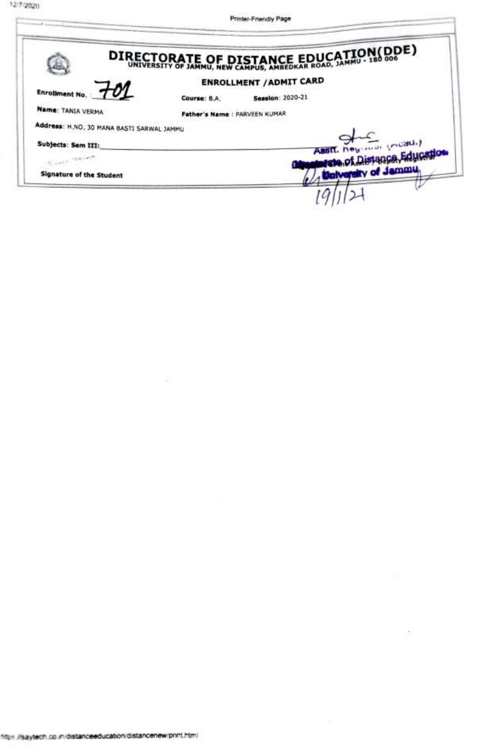**CONTRACTOR** 

š

Printer-Friendly Page

 $\overline{\chi}(\cdot)$ 

|              | DIRECTORATE OF DISTANCE EDUCATION(DDE)                                     |
|--------------|----------------------------------------------------------------------------|
|              | <b>ENROLLMENT / ADMIT CARD</b>                                             |
| Course: B.A. | <b>Session: 2020-21</b>                                                    |
|              |                                                                            |
|              |                                                                            |
|              | ASSIL hoy man (modul)                                                      |
|              | were of Distance, Education                                                |
|              | <b>University of Jammu.</b>                                                |
|              | Father's Name : PARVEEN KUMAR<br>Address: H.NO. 30 MANA BASTI SARWAL JAMMU |

-93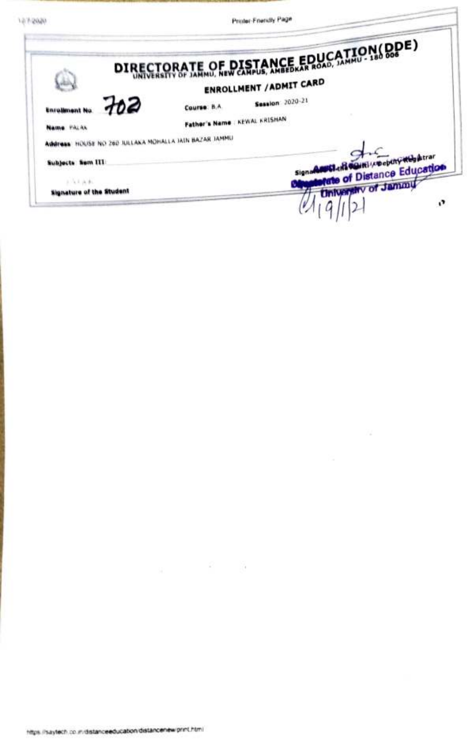10/12020

Prestor-Friendly Page

|                                                                      | DIRECTORATE OF DISTANCE EDUCATION(DDE)                                  |
|----------------------------------------------------------------------|-------------------------------------------------------------------------|
|                                                                      | <b>ENROLLMENT / ADMIT CARD</b>                                          |
| 762                                                                  | <b>Session</b> 2020-21<br>Course: B.A.<br>Father's Name   KEWAL KRISHAN |
| Name PALAK<br>Address, HOUSE NO 260 JULLAKA MOHALLA JAIN BAZAR JAMMU |                                                                         |
| <b>Subjects Sum III</b>                                              | Citti cocputy the ktrar<br><b>rate of Distance Education</b>            |
| 3.5144.<br><b>Signature of the Student</b>                           | <b>University of Jammu</b><br>o                                         |

 $\mathbf{g} = -\mathbf{g} = \mathbf{g}$ 

 $74 - 74$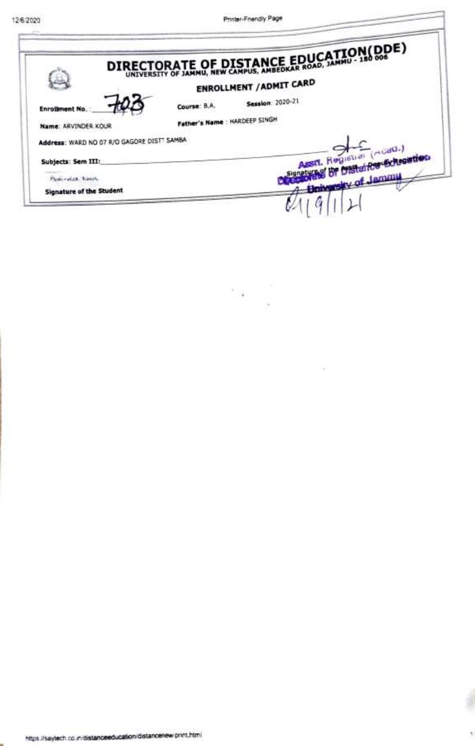|                                            | DIRECTORATE OF DISTANCE EDUCATION(DDE) |  |
|--------------------------------------------|----------------------------------------|--|
|                                            | <b>ENROLLMENT / ADMIT CARD</b>         |  |
| <b>Enrollment No.</b>                      | <b>Session</b> 2020-21<br>Course: B.A. |  |
| Name: ARVINDER KOUR                        | Father's Name : HARDEEP SINGH          |  |
| Address: WARD NO 07 R/O GAGORE DISTT SAMBA |                                        |  |
| Subjects: Sem III:                         | Asst. Registrat (moad.)                |  |
| <b>Floorvick Kings</b>                     | <b>Brivarsky of Jammu</b>              |  |
| <b>Signature of the Student</b>            |                                        |  |

 $\mathcal{L}_{\mathcal{A}(\mathcal{A})}$ 

¥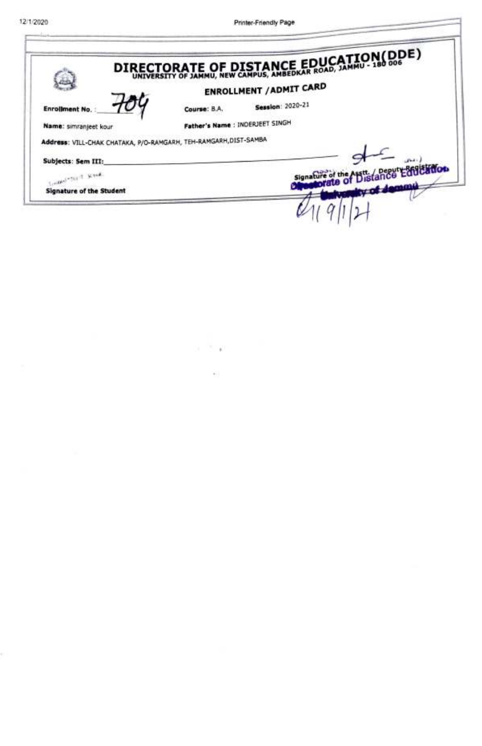τ

¢.

Printer-Friendly Page

|                                                                 |                                 | DIRECTORATE OF DISTANCE EDUCATION(DDE)      |
|-----------------------------------------------------------------|---------------------------------|---------------------------------------------|
|                                                                 |                                 | <b>ENROLLMENT / ADMIT CARD</b>              |
| <b>Enrollment No.</b>                                           | Course: B.A.                    | <b>Session: 2020-21</b>                     |
| Name: simranjeet kour                                           | Father's Name : INDERJEET SINGH |                                             |
| Address: VILL-CHAK CHATAKA, P/O-RAMGARH, TEH-RAMGARH,DIST-SAMBA |                                 |                                             |
| Subjects: Sem III:                                              |                                 |                                             |
| South of Section Section,                                       |                                 | Signature of the Asst. / Deput Earl Earl on |
| <b>Signature of the Student</b>                                 |                                 | of Jammu                                    |
|                                                                 |                                 |                                             |

 $\mathcal{C}=\mathcal{C}$  .  $\mathcal{C}$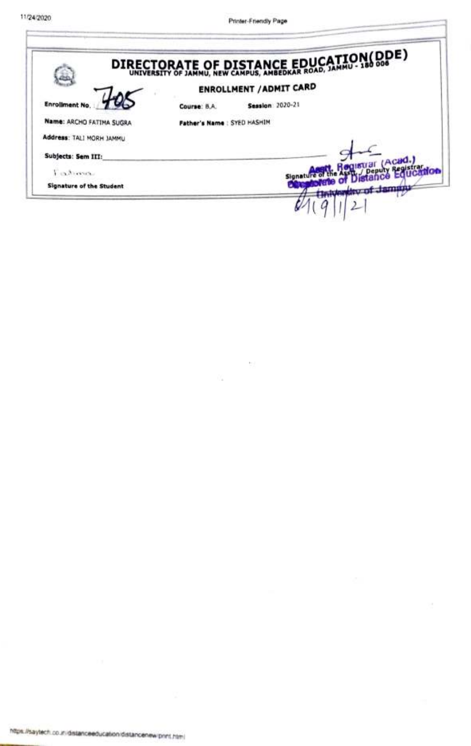|                                 |                             | DIRECTORATE OF DISTANCE EDUCATION(DDE) |
|---------------------------------|-----------------------------|----------------------------------------|
|                                 |                             | <b>ENROLLMENT / ADMIT CARD</b>         |
| <b>Enrollment No.</b>           | Course: B.A.                | <b>Session</b> 2020-21                 |
| <b>Name: ARCHO FATIMA SUGRA</b> | Father's Name : SYED HASHIM |                                        |
| Address: TALI MORH JAMMU        |                             |                                        |
| Subjects: Sem III:              |                             | tuar (Acad.,                           |
| E-exhibition.                   |                             |                                        |
| Signature of the Student        |                             | <b>CONSULTANTS OF BUILDING</b>         |

 $\sim$ 

û.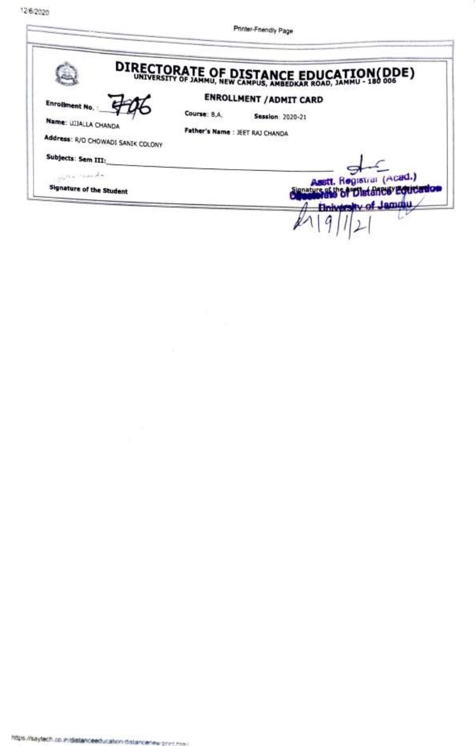12/6/2020

Printer-Friendly Page

|                                                                                                                                                                                                                                                                                                                                                                                                                                                                                                                                                                                                               | DIRECTORATE OF DISTANCE EDUCATION(DDE)   |
|---------------------------------------------------------------------------------------------------------------------------------------------------------------------------------------------------------------------------------------------------------------------------------------------------------------------------------------------------------------------------------------------------------------------------------------------------------------------------------------------------------------------------------------------------------------------------------------------------------------|------------------------------------------|
| Enrollment No.                                                                                                                                                                                                                                                                                                                                                                                                                                                                                                                                                                                                | <b>ENROLLMENT / ADMIT CARD</b>           |
| Name: UJJALLA CHANDA                                                                                                                                                                                                                                                                                                                                                                                                                                                                                                                                                                                          | Course: B.A.<br><b>Session 2020-21</b>   |
| Address: R/O CHOWADI SANIK COLONY                                                                                                                                                                                                                                                                                                                                                                                                                                                                                                                                                                             | Father's Name : JEET RAJ CHANDA          |
| Subjects: Sem III:                                                                                                                                                                                                                                                                                                                                                                                                                                                                                                                                                                                            |                                          |
| $\frac{1}{2\pi\hbar}\mathcal{F}(\mathbf{x},\mathbf{y})=\frac{1}{2\pi\hbar}\frac{1}{2\pi\hbar}\frac{\partial}{\partial\mathbf{x}}\frac{\partial}{\partial\mathbf{x}}\frac{\partial}{\partial\mathbf{x}}\frac{\partial}{\partial\mathbf{x}}\frac{\partial}{\partial\mathbf{x}}\frac{\partial}{\partial\mathbf{x}}\frac{\partial}{\partial\mathbf{x}}\frac{\partial}{\partial\mathbf{x}}\frac{\partial}{\partial\mathbf{x}}\frac{\partial}{\partial\mathbf{x}}\frac{\partial}{\partial\mathbf{x}}\frac{\partial}{\partial\mathbf{x}}\frac{\partial}{\partial\mathbf{x}}\frac{\partial}{\partial\mathbf{x}}\frac$ | Asstt. Registrar (Acad.)                 |
| Signature of the Student                                                                                                                                                                                                                                                                                                                                                                                                                                                                                                                                                                                      | Stenature of the A"Distances" Equication |
|                                                                                                                                                                                                                                                                                                                                                                                                                                                                                                                                                                                                               | <b>University of Jammu.</b>              |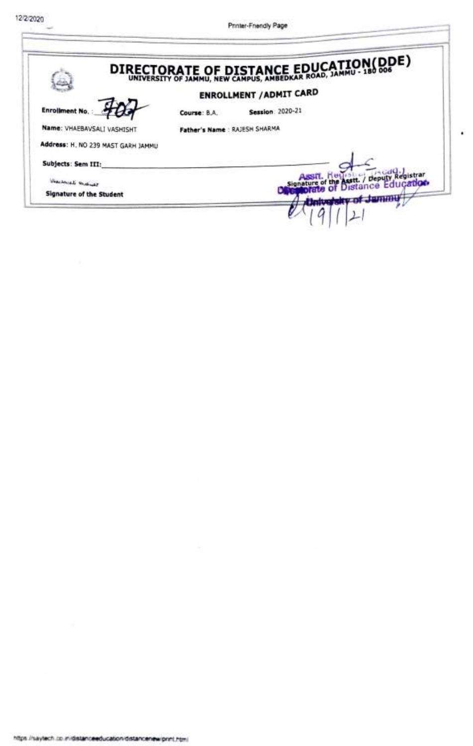|                                    | DIRECTORATE OF DISTANCE EDUCATION(DDE)                             |
|------------------------------------|--------------------------------------------------------------------|
|                                    | <b>ENROLLMENT / ADMIT CARD</b>                                     |
| <b>Enrollment No.</b>              | <b>Session</b> : 2020-21<br>Course: B.A.                           |
| Name: VHAEBAVSALI VASHISHT         | Father's Name : RAJESH SHARMA                                      |
| Address: H. NO 239 MAST GARH JAMMU |                                                                    |
| Subjects: Sem III:                 |                                                                    |
| Weaversal Windows                  | sstt. / Deputy Registrar<br><b>Distance Education</b><br>Signature |
| Signature of the Student           |                                                                    |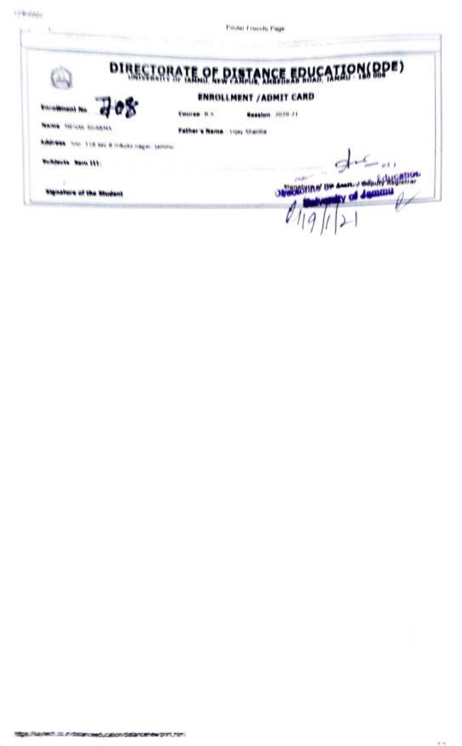policy Management

| <b>Riversee</b> |                                                                                                                      |
|-----------------|----------------------------------------------------------------------------------------------------------------------|
|                 |                                                                                                                      |
|                 |                                                                                                                      |
|                 |                                                                                                                      |
|                 |                                                                                                                      |
|                 | DIRECTORATE OF PASTANCE ERUCATION(RPE)<br><b>ENROLLMENT / ADMIT CARD</b><br><b>Reselect Joyce 21</b><br><b>Lammu</b> |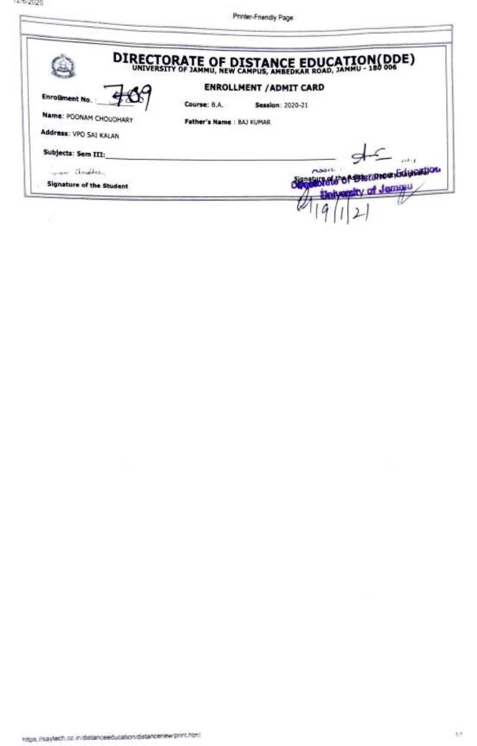|                          | DIRECTORATE OF DISTANCE EDUCATION(DDE)  |
|--------------------------|-----------------------------------------|
|                          | <b>ENROLLMENT / ADMIT CARD</b>          |
| Enrollment No.           | Course: B.A.<br><b>Session: 2020-21</b> |
| Name: POONAM CHOUDHARY   | Father's Name: BAJ KUMAR                |
| Address: VPO SAI KALAN   |                                         |
| Subjects: Sem III:       |                                         |
| way Christina            | <b>MOREHATION GOLD STORE</b><br>A       |
| Signature of the Student | Belyessity of Jemmu                     |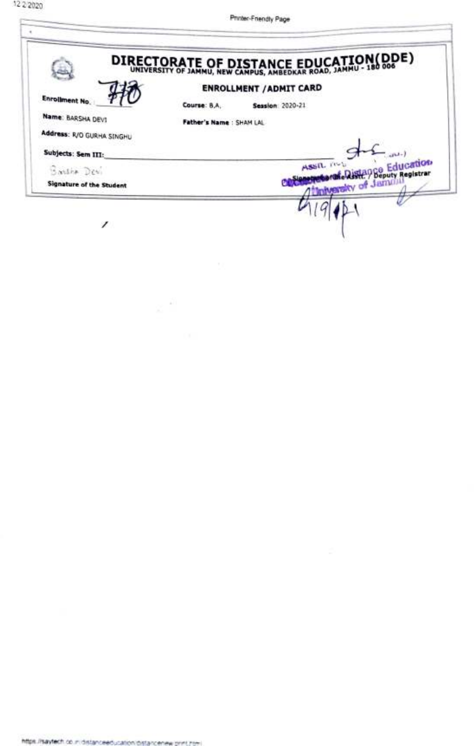|                           | DIRECTORATE OF DISTANCE EDUCATION(DDE) |  |
|---------------------------|----------------------------------------|--|
|                           | <b>ENROLLMENT / ADMIT CARD</b>         |  |
| Enrollment No.            | Course: B.A.<br><b>Session 2020-21</b> |  |
| Name: BARSHA DEVI         | Father's Name: SHAM LAL                |  |
| Address: R/O GURHA SINGHU |                                        |  |
| Subjects: Sem III:        |                                        |  |
| Bartha Devi               | Assn. (1945) Stance Education          |  |
| Signature of the Student  | the bands of Jamming Highland          |  |
|                           |                                        |  |

 $\chi^{-10}$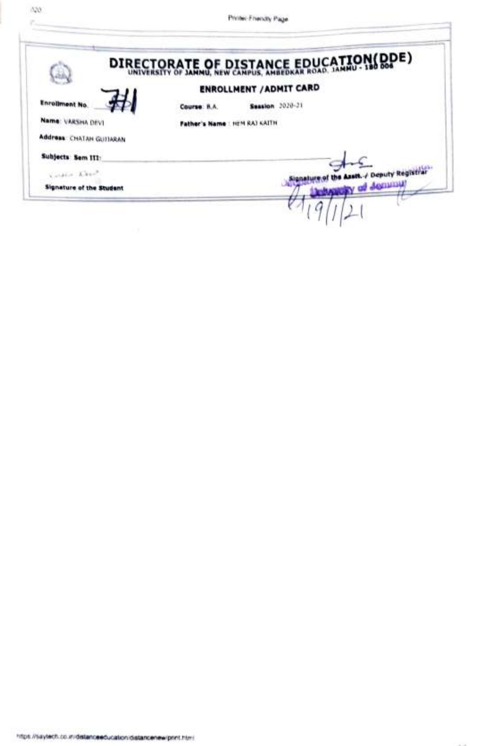Philac-Friendly Page

|                                 | DIRECTORATE OF DISTANCE EDUCATION(DDE) |
|---------------------------------|----------------------------------------|
|                                 | <b>ENROLLMENT / ADMIT CARD</b>         |
| <b>Enrollment No.</b>           | Seasion 3020-21<br>Course: R.A.        |
| Name: VARSHA DEVI               | Nor's Name : HEM RAI KAITH             |
| <b>Address: CHATAN GUITARAN</b> |                                        |
| Subjects Sem III:               |                                        |
| Visite Leve                     | Deputy Registr.                        |
| Signature of the Student        | of Acquisit                            |

 $(520)$ 

Police of the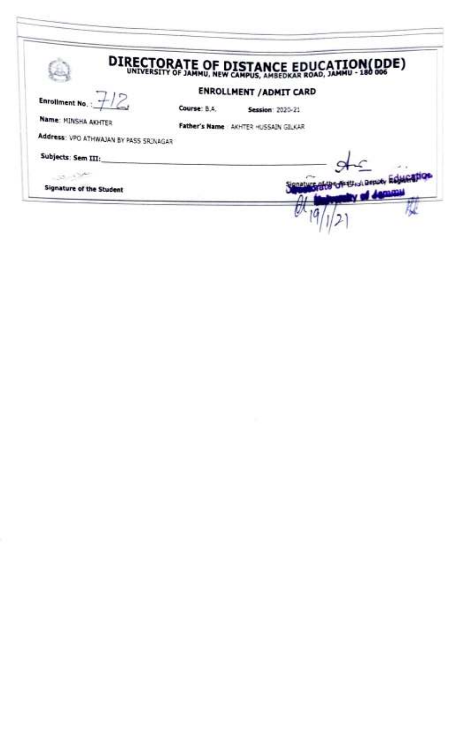|                                        |              | DIRECTORATE OF DISTANCE EDUCATION(DDE) |                   |
|----------------------------------------|--------------|----------------------------------------|-------------------|
|                                        |              | <b>ENROLLMENT / ADMIT CARD</b>         |                   |
| <b>Enrollment No.:</b>                 | Course: B.A. | <b>Session: 2020-21</b>                |                   |
| Name: MINSHA AKHTER                    |              | Father's Name: AKHTER HUSSAIN GILKAR   |                   |
| Address: VPO ATHWAJAN BY PASS SRINAGAR |              |                                        |                   |
| Subjects: Sem III:                     |              |                                        |                   |
|                                        |              |                                        | satted Benoty Rob |
| Signature of the Student               |              |                                        |                   |
|                                        |              |                                        |                   |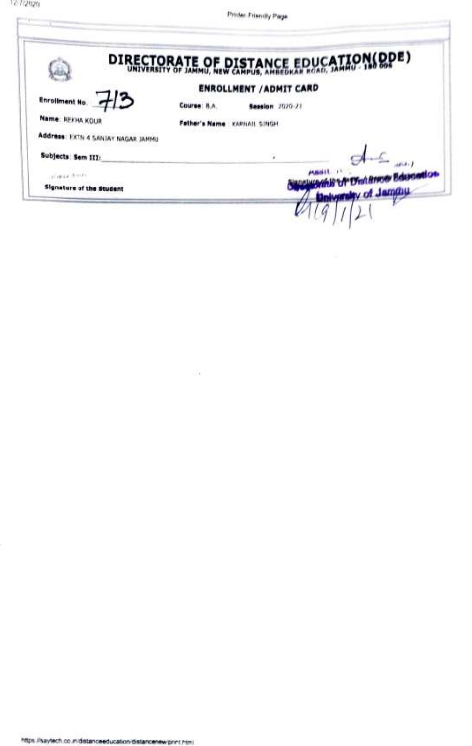Phone

 $\frac{1}{2} \left( \frac{1}{2} \right) + \frac{1}{2} \left( \frac{1}{2} \right) + \frac{1}{2} \left( \frac{1}{2} \right) + \frac{1}{2} \left( \frac{1}{2} \right) + \frac{1}{2} \left( \frac{1}{2} \right) + \frac{1}{2} \left( \frac{1}{2} \right) + \frac{1}{2} \left( \frac{1}{2} \right) + \frac{1}{2} \left( \frac{1}{2} \right) + \frac{1}{2} \left( \frac{1}{2} \right) + \frac{1}{2} \left( \frac{1}{2} \right) + \frac{1}{2} \left($ 

|                                  | DIRECTORATE OF DISTANCE EDUCATION(DDE) |
|----------------------------------|----------------------------------------|
|                                  | <b>ENROLLMENT / ADMIT CARD</b>         |
| <b>Enrollment No.</b>            | Course: N.A.<br>Session 7020-71        |
| Name: REKHA KOUR                 | Father's Name : KARNAIL SINGH          |
| Address: EXTN 4 SANJAY NAGAR JAM |                                        |
| Subjects: Sem III:               |                                        |
| UNIVERSITY OF                    | ney Educated on                        |
| <b>Signature of the Student</b>  | piversity of Jammu                     |
|                                  |                                        |

 $\sim$   $\sim$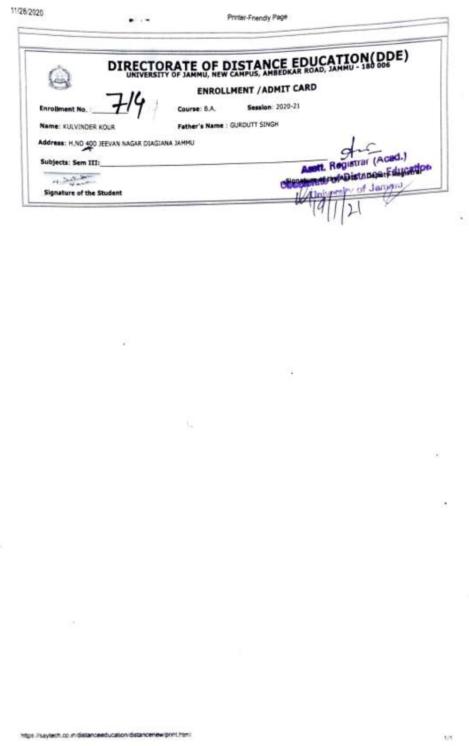É

|                                               | DIRECTORATE OF DISTANCE EDUCATION(DDE)  |
|-----------------------------------------------|-----------------------------------------|
|                                               | <b>ENROLLMENT / ADMIT CARD</b>          |
| Enrollment No.                                | <b>Session: 2020-21</b><br>Course: B.A. |
| Name: KULVINDER KOUR                          | Father's Name : GURDUTT SINGH           |
| Address: H.NO 400 JEEVAN NAGAR DIAGIANA JAMMU |                                         |
| Subjects: Sem III:                            | Assit. Registrar (Acad.)                |
|                                               |                                         |
| <b>Signature of the Student</b>               | biversity of Jangua                     |

्र

33.0

 $\overrightarrow{r}$ 

-9

¥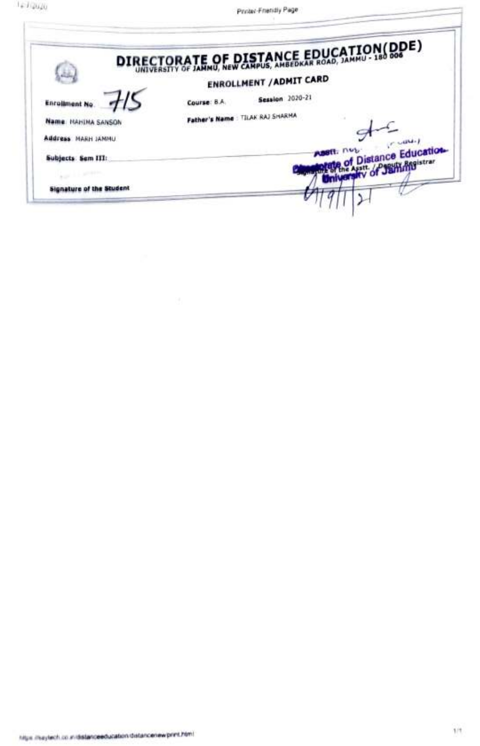|                                 |                                 |                                | DIRECTORATE OF DISTANCE EDUCATION(DDE)            |
|---------------------------------|---------------------------------|--------------------------------|---------------------------------------------------|
|                                 |                                 |                                |                                                   |
|                                 |                                 | <b>ENROLLMENT / ADMIT CARD</b> |                                                   |
| <b>Enrollment No</b>            | Course: 8.A.                    | <b>Session</b> 2020-21         |                                                   |
| Name: HAHIMA SANSON             | Father's Name: TILAK RAJ SHARMA |                                |                                                   |
| Address MARH JAMMU              |                                 |                                |                                                   |
|                                 |                                 |                                | <b>ABSIT: NULL</b><br><b>f Distance Education</b> |
| Subjects: Sem III:              |                                 |                                |                                                   |
| <b>Wallen and Commercial</b>    |                                 |                                |                                                   |
| <b>Signature of the Student</b> |                                 |                                |                                                   |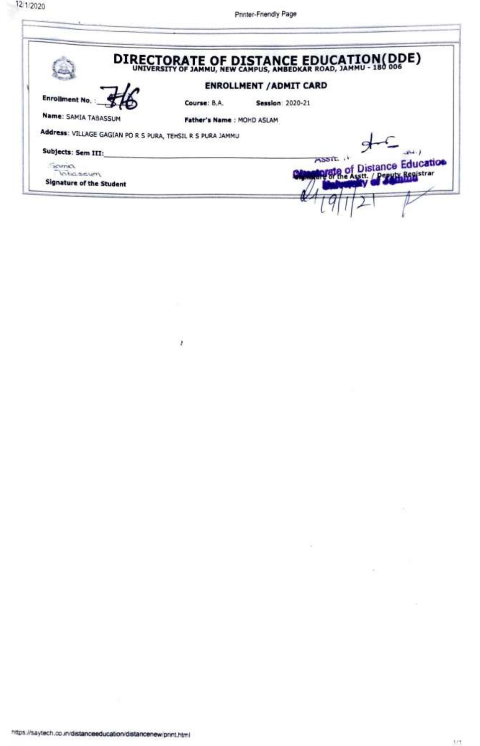

Ï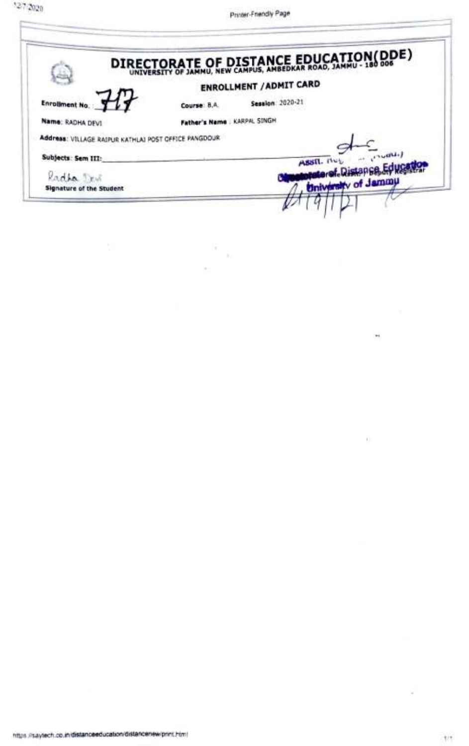|                                                      | DIRECTORATE OF DISTANCE EDUCATION(DDE)  |
|------------------------------------------------------|-----------------------------------------|
|                                                      | <b>ENROLLMENT / ADMIT CARD</b>          |
| <b>Enrollment No.</b>                                | <b>Session: 2020-21</b><br>Course: 8.A. |
| Name: RADHA DEVI                                     | Father's Name : KARPAL SINGH            |
| Address: VILLAGE RAIPUR KATHLAI POST CFFICE PANGDOUR |                                         |
| Subjects: Sem III:                                   | <b>INDUCT</b><br>ASSIL NOL              |
| ladha Tes                                            | yer. Distant                            |
| <b>Signature of the Student</b>                      | University of Jammu                     |

 $\frac{2}{D}$ 

 $\mathcal{L}_{\mathcal{L}}$ 

2

¥,

 $\overline{1}$  ).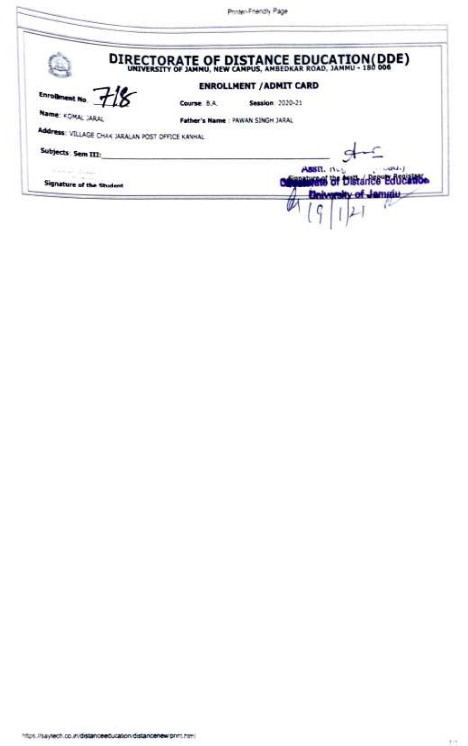|                                                  |             |                                  | DIRECTORATE OF DISTANCE EDUCATION(DDE) |
|--------------------------------------------------|-------------|----------------------------------|----------------------------------------|
|                                                  |             | <b>ENROLLMENT / ADMIT CARD</b>   |                                        |
| <b>Enrolment</b>                                 | Course B.A. | Session 2020-21                  |                                        |
| Name: KOMAL JARAL                                |             | Father's Name: PAWAN SINGH JARAL |                                        |
| Address: VILLAGE CHAK JARALAN POST OFFICE KANHAL |             |                                  |                                        |
| Subjects: Sem III:                               |             |                                  |                                        |
| <b>Simula</b>                                    |             |                                  | <b>ASSIL.</b> 11-                      |
| Signature of the Student                         |             |                                  |                                        |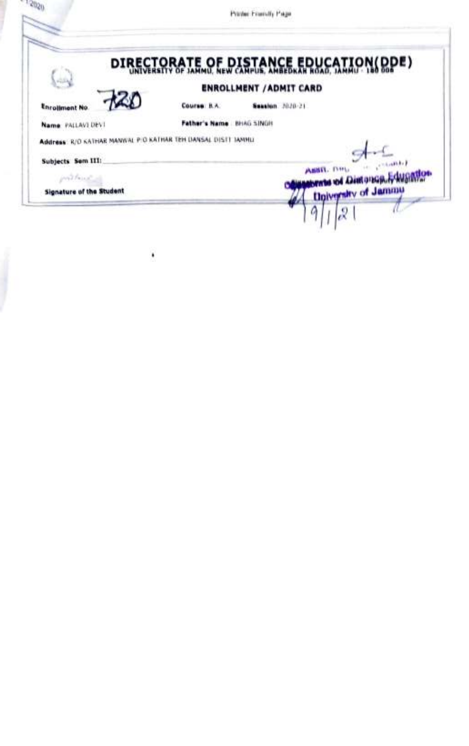|                                                               |             | Pointer Foundly Page                   |
|---------------------------------------------------------------|-------------|----------------------------------------|
|                                                               |             | DIRECTORATE OF DISTANCE FRUCATION(DDE) |
|                                                               |             | <b>ENROLLMENT / ADMIT CARD</b>         |
| <b>Enrollment No.</b>                                         | Course R.A. | Seasion 1020-21                        |
| Name: PALLAVEDEVI                                             | dhar's Name | <b>BHAG SINGH</b>                      |
| Address: R/O KATHAR MANWAL PIO KATHAR TEH DANSAL DISTT JAMHLI |             |                                        |
| Subjects Sem III:                                             |             |                                        |
| inn't faire in                                                |             | ASSIL DIL<br>storate of Distoracion of |
| <b>Signature of the Student</b>                               |             | <b>University of Jammu</b>             |
|                                                               |             |                                        |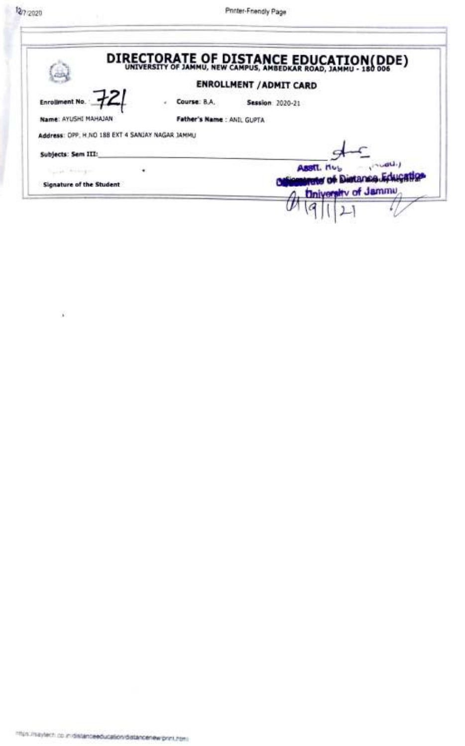¥

t

|                                                 |                            | DIRECTORATE OF DISTANCE EDUCATION(DDE)                   |
|-------------------------------------------------|----------------------------|----------------------------------------------------------|
|                                                 |                            | <b>ENROLLMENT / ADMIT CARD</b>                           |
| <b>Enrollment No.</b>                           | Course: B.A.               | <b>Session: 2020-21</b>                                  |
| Name: AYUSHI MAHAJAN                            | Father's Name : ANIL GUPTA |                                                          |
| Address: OPP. H.NO 188 EXT 4 SANJAY NAGAR JAMMU |                            |                                                          |
| Subjects: Sem III:                              |                            |                                                          |
| Loyal Avenue of                                 |                            | $\mathbb{R}^{n \times 1}$<br>ASSIL NUL                   |
| Signature of the Student                        |                            | rete of Distance Education<br><b>University of Jammu</b> |
|                                                 |                            |                                                          |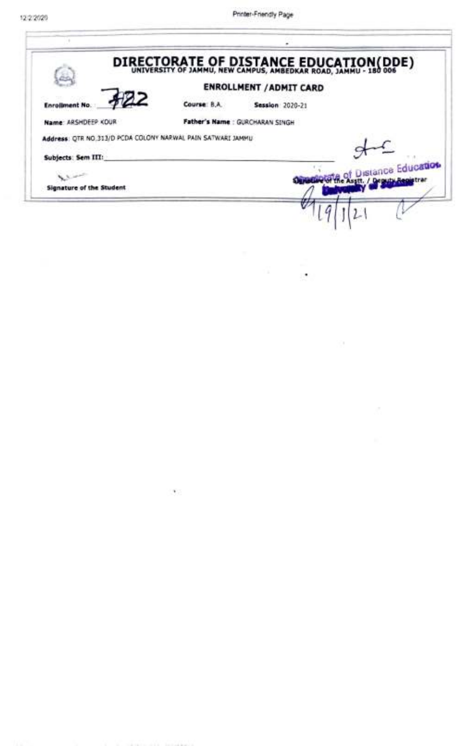|                                                              |              | DIRECTORATE OF DISTANCE EDUCATION(DDE) |
|--------------------------------------------------------------|--------------|----------------------------------------|
|                                                              |              | <b>ENROLLMENT / ADMIT CARD</b>         |
| <b>Enrollment No.</b>                                        | Course: B.A. | <b>Session 2020-21</b>                 |
| Name: ARSHDEEP KOUR                                          |              | Father's Name : GURCHARAN SINGH        |
| Address: QTR NO.313/D PCDA COLONY NARWAL PAIN SATWARI JAMMU. |              |                                        |
| Subjects: Sem III:                                           |              |                                        |
|                                                              |              | tate of Distance Education             |
| Signature of the Student                                     |              |                                        |
|                                                              |              |                                        |

 $\label{eq:1.1} \begin{array}{cc} \alpha & \alpha & \alpha \\ \alpha & \beta & \beta \end{array}$ 

The State of the

 $\sim 100$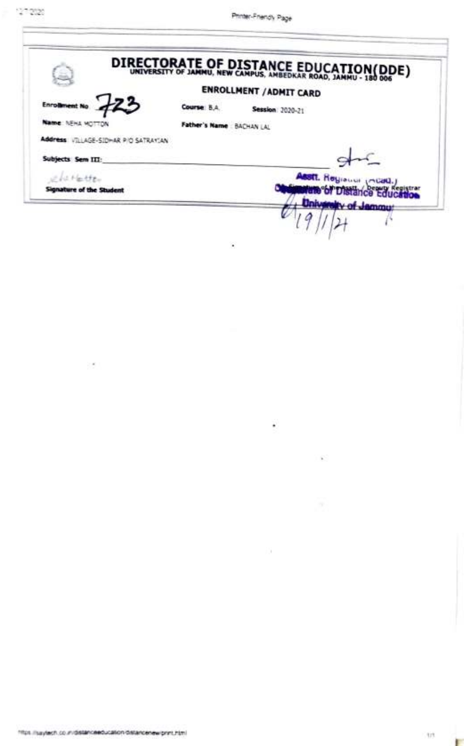|                                      |                          | DIRECTORATE OF DISTANCE EDUCATION(DDE) |  |
|--------------------------------------|--------------------------|----------------------------------------|--|
|                                      |                          | <b>ENROLLMENT / ADMIT CARD</b>         |  |
|                                      | Course 8.A.              | Session 2020-21                        |  |
| Name NEHA WOTTO                      | Father's Name BACHAN LAL |                                        |  |
| Address VILLAGE-SIDHAR PIO SATRAYIAN |                          |                                        |  |
| Subjects Sem III:                    |                          |                                        |  |
|                                      |                          | <b>ABSIT.</b> Hoyiouus Incar           |  |
| Signature of the Student             |                          | ale of Distance Education              |  |
|                                      |                          | <b>University of Jammu:</b>            |  |

ä

 $\bullet$ 

79

 $\sim$ 

 $\geq 40$